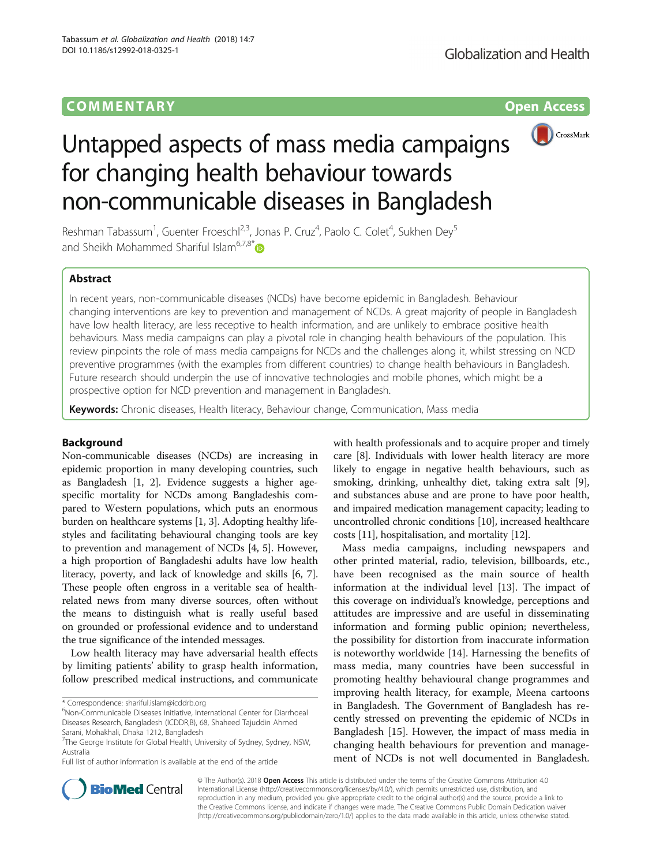## COMM EN TARY Open Access



# Untapped aspects of mass media campaigns for changing health behaviour towards non-communicable diseases in Bangladesh

Reshman Tabassum<sup>1</sup>, Guenter Froeschl<sup>2,3</sup>, Jonas P. Cruz<sup>4</sup>, Paolo C. Colet<sup>4</sup>, Sukhen Dey<sup>5</sup> and Sheikh Mohammed Shariful Islam<sup>6,7,8\*</sup>

## Abstract

In recent years, non-communicable diseases (NCDs) have become epidemic in Bangladesh. Behaviour changing interventions are key to prevention and management of NCDs. A great majority of people in Bangladesh have low health literacy, are less receptive to health information, and are unlikely to embrace positive health behaviours. Mass media campaigns can play a pivotal role in changing health behaviours of the population. This review pinpoints the role of mass media campaigns for NCDs and the challenges along it, whilst stressing on NCD preventive programmes (with the examples from different countries) to change health behaviours in Bangladesh. Future research should underpin the use of innovative technologies and mobile phones, which might be a prospective option for NCD prevention and management in Bangladesh.

Keywords: Chronic diseases, Health literacy, Behaviour change, Communication, Mass media

## Background

Non-communicable diseases (NCDs) are increasing in epidemic proportion in many developing countries, such as Bangladesh [\[1](#page-2-0), [2\]](#page-2-0). Evidence suggests a higher agespecific mortality for NCDs among Bangladeshis compared to Western populations, which puts an enormous burden on healthcare systems [\[1](#page-2-0), [3](#page-2-0)]. Adopting healthy lifestyles and facilitating behavioural changing tools are key to prevention and management of NCDs [[4, 5\]](#page-2-0). However, a high proportion of Bangladeshi adults have low health literacy, poverty, and lack of knowledge and skills [[6, 7](#page-2-0)]. These people often engross in a veritable sea of healthrelated news from many diverse sources, often without the means to distinguish what is really useful based on grounded or professional evidence and to understand the true significance of the intended messages.

Low health literacy may have adversarial health effects by limiting patients' ability to grasp health information, follow prescribed medical instructions, and communicate

\* Correspondence: [shariful.islam@icddrb.org](mailto:shariful.islam@icddrb.org) <sup>6</sup>

Non-Communicable Diseases Initiative, International Center for Diarrhoeal Diseases Research, Bangladesh (ICDDR,B), 68, Shaheed Tajuddin Ahmed Sarani, Mohakhali, Dhaka 1212, Bangladesh

Full list of author information is available at the end of the article

with health professionals and to acquire proper and timely care [[8](#page-2-0)]. Individuals with lower health literacy are more likely to engage in negative health behaviours, such as smoking, drinking, unhealthy diet, taking extra salt [[9](#page-2-0)], and substances abuse and are prone to have poor health, and impaired medication management capacity; leading to uncontrolled chronic conditions [\[10](#page-2-0)], increased healthcare costs [\[11\]](#page-2-0), hospitalisation, and mortality [[12](#page-2-0)].

Mass media campaigns, including newspapers and other printed material, radio, television, billboards, etc., have been recognised as the main source of health information at the individual level [[13\]](#page-3-0). The impact of this coverage on individual's knowledge, perceptions and attitudes are impressive and are useful in disseminating information and forming public opinion; nevertheless, the possibility for distortion from inaccurate information is noteworthy worldwide [[14](#page-3-0)]. Harnessing the benefits of mass media, many countries have been successful in promoting healthy behavioural change programmes and improving health literacy, for example, Meena cartoons in Bangladesh. The Government of Bangladesh has recently stressed on preventing the epidemic of NCDs in Bangladesh [[15\]](#page-3-0). However, the impact of mass media in changing health behaviours for prevention and management of NCDs is not well documented in Bangladesh.



© The Author(s). 2018 Open Access This article is distributed under the terms of the Creative Commons Attribution 4.0 International License [\(http://creativecommons.org/licenses/by/4.0/](http://creativecommons.org/licenses/by/4.0/)), which permits unrestricted use, distribution, and reproduction in any medium, provided you give appropriate credit to the original author(s) and the source, provide a link to the Creative Commons license, and indicate if changes were made. The Creative Commons Public Domain Dedication waiver [\(http://creativecommons.org/publicdomain/zero/1.0/](http://creativecommons.org/publicdomain/zero/1.0/)) applies to the data made available in this article, unless otherwise stated.

<sup>&</sup>lt;sup>7</sup>The George Institute for Global Health, University of Sydney, Sydney, NSW, Australia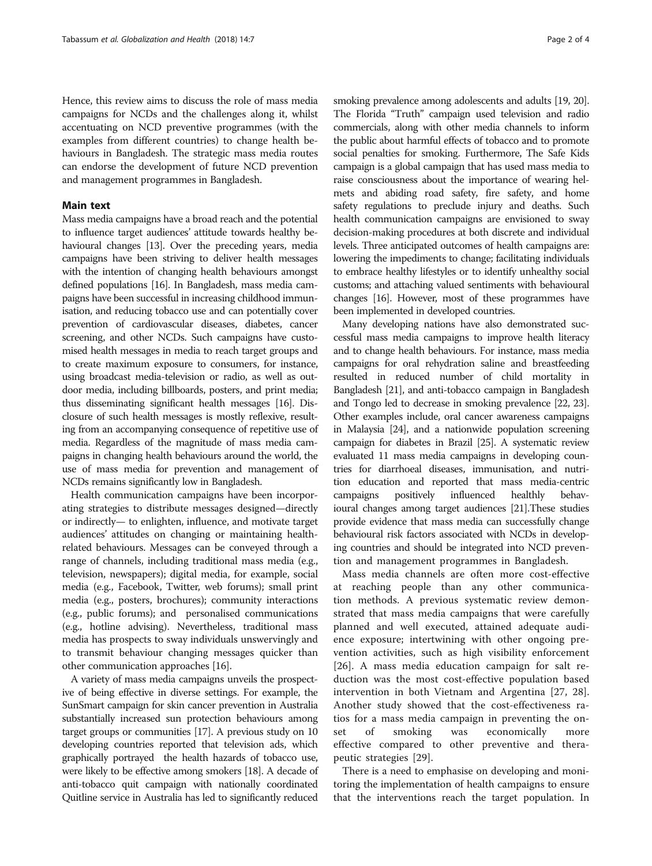Hence, this review aims to discuss the role of mass media campaigns for NCDs and the challenges along it, whilst accentuating on NCD preventive programmes (with the examples from different countries) to change health behaviours in Bangladesh. The strategic mass media routes can endorse the development of future NCD prevention and management programmes in Bangladesh.

## Main text

Mass media campaigns have a broad reach and the potential to influence target audiences' attitude towards healthy behavioural changes [\[13\]](#page-3-0). Over the preceding years, media campaigns have been striving to deliver health messages with the intention of changing health behaviours amongst defined populations [\[16\]](#page-3-0). In Bangladesh, mass media campaigns have been successful in increasing childhood immunisation, and reducing tobacco use and can potentially cover prevention of cardiovascular diseases, diabetes, cancer screening, and other NCDs. Such campaigns have customised health messages in media to reach target groups and to create maximum exposure to consumers, for instance, using broadcast media-television or radio, as well as outdoor media, including billboards, posters, and print media; thus disseminating significant health messages [[16\]](#page-3-0). Disclosure of such health messages is mostly reflexive, resulting from an accompanying consequence of repetitive use of media. Regardless of the magnitude of mass media campaigns in changing health behaviours around the world, the use of mass media for prevention and management of NCDs remains significantly low in Bangladesh.

Health communication campaigns have been incorporating strategies to distribute messages designed—directly or indirectly— to enlighten, influence, and motivate target audiences' attitudes on changing or maintaining healthrelated behaviours. Messages can be conveyed through a range of channels, including traditional mass media (e.g., television, newspapers); digital media, for example, social media (e.g., Facebook, Twitter, web forums); small print media (e.g., posters, brochures); community interactions (e.g., public forums); and personalised communications (e.g., hotline advising). Nevertheless, traditional mass media has prospects to sway individuals unswervingly and to transmit behaviour changing messages quicker than other communication approaches [\[16\]](#page-3-0).

A variety of mass media campaigns unveils the prospective of being effective in diverse settings. For example, the SunSmart campaign for skin cancer prevention in Australia substantially increased sun protection behaviours among target groups or communities [\[17\]](#page-3-0). A previous study on 10 developing countries reported that television ads, which graphically portrayed the health hazards of tobacco use, were likely to be effective among smokers [\[18\]](#page-3-0). A decade of anti-tobacco quit campaign with nationally coordinated Quitline service in Australia has led to significantly reduced

smoking prevalence among adolescents and adults [[19](#page-3-0), [20](#page-3-0)]. The Florida "Truth" campaign used television and radio commercials, along with other media channels to inform the public about harmful effects of tobacco and to promote social penalties for smoking. Furthermore, The Safe Kids campaign is a global campaign that has used mass media to raise consciousness about the importance of wearing helmets and abiding road safety, fire safety, and home safety regulations to preclude injury and deaths. Such health communication campaigns are envisioned to sway decision-making procedures at both discrete and individual levels. Three anticipated outcomes of health campaigns are: lowering the impediments to change; facilitating individuals to embrace healthy lifestyles or to identify unhealthy social customs; and attaching valued sentiments with behavioural changes [[16](#page-3-0)]. However, most of these programmes have been implemented in developed countries.

Many developing nations have also demonstrated successful mass media campaigns to improve health literacy and to change health behaviours. For instance, mass media campaigns for oral rehydration saline and breastfeeding resulted in reduced number of child mortality in Bangladesh [\[21\]](#page-3-0), and anti-tobacco campaign in Bangladesh and Tongo led to decrease in smoking prevalence [\[22, 23](#page-3-0)]. Other examples include, oral cancer awareness campaigns in Malaysia [\[24](#page-3-0)], and a nationwide population screening campaign for diabetes in Brazil [\[25](#page-3-0)]. A systematic review evaluated 11 mass media campaigns in developing countries for diarrhoeal diseases, immunisation, and nutrition education and reported that mass media-centric campaigns positively influenced healthly behavioural changes among target audiences [[21\]](#page-3-0).These studies provide evidence that mass media can successfully change behavioural risk factors associated with NCDs in developing countries and should be integrated into NCD prevention and management programmes in Bangladesh.

Mass media channels are often more cost-effective at reaching people than any other communication methods. A previous systematic review demonstrated that mass media campaigns that were carefully planned and well executed, attained adequate audience exposure; intertwining with other ongoing prevention activities, such as high visibility enforcement [[26](#page-3-0)]. A mass media education campaign for salt reduction was the most cost-effective population based intervention in both Vietnam and Argentina [\[27](#page-3-0), [28](#page-3-0)]. Another study showed that the cost-effectiveness ratios for a mass media campaign in preventing the onset of smoking was economically more effective compared to other preventive and therapeutic strategies [\[29](#page-3-0)].

There is a need to emphasise on developing and monitoring the implementation of health campaigns to ensure that the interventions reach the target population. In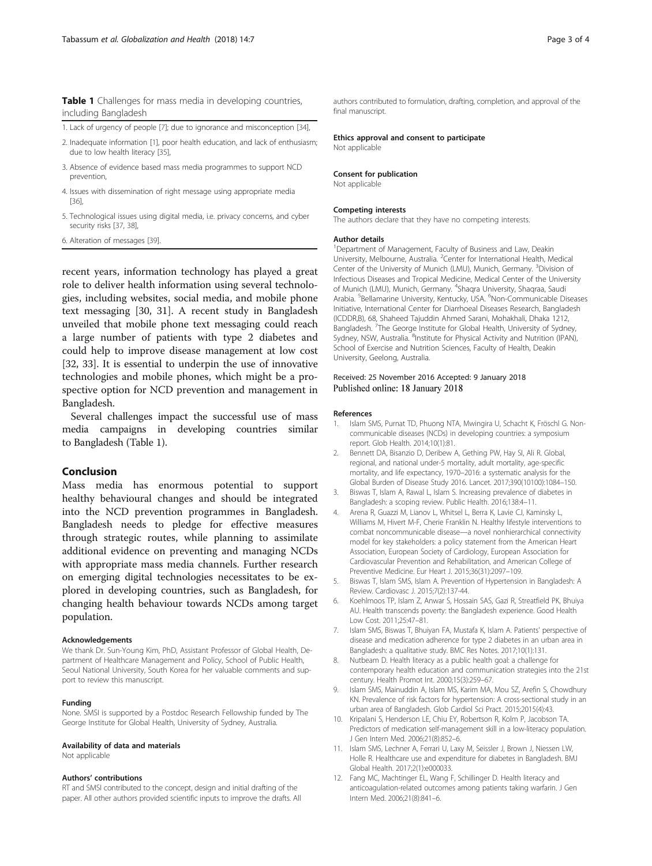## <span id="page-2-0"></span>Table 1 Challenges for mass media in developing countries, including Bangladesh

- 1. Lack of urgency of people [7]; due to ignorance and misconception [\[34](#page-3-0)],
- 2. Inadequate information [1], poor health education, and lack of enthusiasm; due to low health literacy [[35\]](#page-3-0),
- 3. Absence of evidence based mass media programmes to support NCD prevention,
- 4. Issues with dissemination of right message using appropriate media [[36\]](#page-3-0)
- 5. Technological issues using digital media, i.e. privacy concerns, and cyber security risks [\[37,](#page-3-0) [38](#page-3-0)],
- 6. Alteration of messages [[39\]](#page-3-0).

recent years, information technology has played a great role to deliver health information using several technologies, including websites, social media, and mobile phone text messaging [[30, 31](#page-3-0)]. A recent study in Bangladesh unveiled that mobile phone text messaging could reach a large number of patients with type 2 diabetes and could help to improve disease management at low cost [[32, 33](#page-3-0)]. It is essential to underpin the use of innovative technologies and mobile phones, which might be a prospective option for NCD prevention and management in Bangladesh.

Several challenges impact the successful use of mass media campaigns in developing countries similar to Bangladesh (Table 1).

## Conclusion

Mass media has enormous potential to support healthy behavioural changes and should be integrated into the NCD prevention programmes in Bangladesh. Bangladesh needs to pledge for effective measures through strategic routes, while planning to assimilate additional evidence on preventing and managing NCDs with appropriate mass media channels. Further research on emerging digital technologies necessitates to be explored in developing countries, such as Bangladesh, for changing health behaviour towards NCDs among target population.

#### Acknowledgements

We thank Dr. Sun-Young Kim, PhD, Assistant Professor of Global Health, Department of Healthcare Management and Policy, School of Public Health, Seoul National University, South Korea for her valuable comments and support to review this manuscript.

#### Funding

None. SMSI is supported by a Postdoc Research Fellowship funded by The George Institute for Global Health, University of Sydney, Australia.

#### Availability of data and materials

Not applicable

#### Authors' contributions

RT and SMSI contributed to the concept, design and initial drafting of the paper. All other authors provided scientific inputs to improve the drafts. All authors contributed to formulation, drafting, completion, and approval of the final manuscript.

#### Ethics approval and consent to participate

Not applicable

#### Consent for publication

Not applicable

#### Competing interests

The authors declare that they have no competing interests.

#### Author details

<sup>1</sup> Department of Management, Faculty of Business and Law, Deakin University, Melbourne, Australia. <sup>2</sup> Center for International Health, Medical Center of the University of Munich (LMU), Munich, Germany. <sup>3</sup>Division of Infectious Diseases and Tropical Medicine, Medical Center of the University of Munich (LMU), Munich, Germany. <sup>4</sup>Shaqra University, Shaqraa, Saudi Arabia. <sup>5</sup>Bellamarine University, Kentucky, USA. <sup>6</sup>Non-Communicable Diseases Initiative, International Center for Diarrhoeal Diseases Research, Bangladesh (ICDDR,B), 68, Shaheed Tajuddin Ahmed Sarani, Mohakhali, Dhaka 1212, Bangladesh. <sup>7</sup>The George Institute for Global Health, University of Sydney, Sydney, NSW, Australia. <sup>8</sup>Institute for Physical Activity and Nutrition (IPAN) School of Exercise and Nutrition Sciences, Faculty of Health, Deakin University, Geelong, Australia.

#### Received: 25 November 2016 Accepted: 9 January 2018 Published online: 18 January 2018

#### References

- 1. Islam SMS, Purnat TD, Phuong NTA, Mwingira U, Schacht K, Fröschl G. Noncommunicable diseases (NCDs) in developing countries: a symposium report. Glob Health. 2014;10(1):81.
- 2. Bennett DA, Bisanzio D, Deribew A, Gething PW, Hay SI, Ali R. Global, regional, and national under-5 mortality, adult mortality, age-specific mortality, and life expectancy, 1970–2016: a systematic analysis for the Global Burden of Disease Study 2016. Lancet. 2017;390(10100):1084–150.
- 3. Biswas T, Islam A, Rawal L, Islam S. Increasing prevalence of diabetes in Bangladesh: a scoping review. Public Health. 2016;138:4–11.
- 4. Arena R, Guazzi M, Lianov L, Whitsel L, Berra K, Lavie CJ, Kaminsky L, Williams M, Hivert M-F, Cherie Franklin N. Healthy lifestyle interventions to combat noncommunicable disease—a novel nonhierarchical connectivity model for key stakeholders: a policy statement from the American Heart Association, European Society of Cardiology, European Association for Cardiovascular Prevention and Rehabilitation, and American College of Preventive Medicine. Eur Heart J. 2015;36(31):2097–109.
- 5. Biswas T, Islam SMS, Islam A. Prevention of Hypertension in Bangladesh: A Review. Cardiovasc J. 2015;7(2):137-44.
- 6. Koehlmoos TP, Islam Z, Anwar S, Hossain SAS, Gazi R, Streatfield PK, Bhuiya AU. Health transcends poverty: the Bangladesh experience. Good Health Low Cost. 2011;25:47–81.
- 7. Islam SMS, Biswas T, Bhuiyan FA, Mustafa K, Islam A. Patients' perspective of disease and medication adherence for type 2 diabetes in an urban area in Bangladesh: a qualitative study. BMC Res Notes. 2017;10(1):131.
- 8. Nutbeam D. Health literacy as a public health goal: a challenge for contemporary health education and communication strategies into the 21st century. Health Promot Int. 2000;15(3):259–67.
- 9. Islam SMS, Mainuddin A, Islam MS, Karim MA, Mou SZ, Arefin S, Chowdhury KN. Prevalence of risk factors for hypertension: A cross-sectional study in an urban area of Bangladesh. Glob Cardiol Sci Pract. 2015;2015(4):43.
- 10. Kripalani S, Henderson LE, Chiu EY, Robertson R, Kolm P, Jacobson TA. Predictors of medication self-management skill in a low-literacy population. J Gen Intern Med. 2006;21(8):852–6.
- 11. Islam SMS, Lechner A, Ferrari U, Laxy M, Seissler J, Brown J, Niessen LW, Holle R. Healthcare use and expenditure for diabetes in Bangladesh. BMJ Global Health. 2017;2(1):e000033.
- 12. Fang MC, Machtinger EL, Wang F, Schillinger D. Health literacy and anticoagulation-related outcomes among patients taking warfarin. J Gen Intern Med. 2006;21(8):841–6.